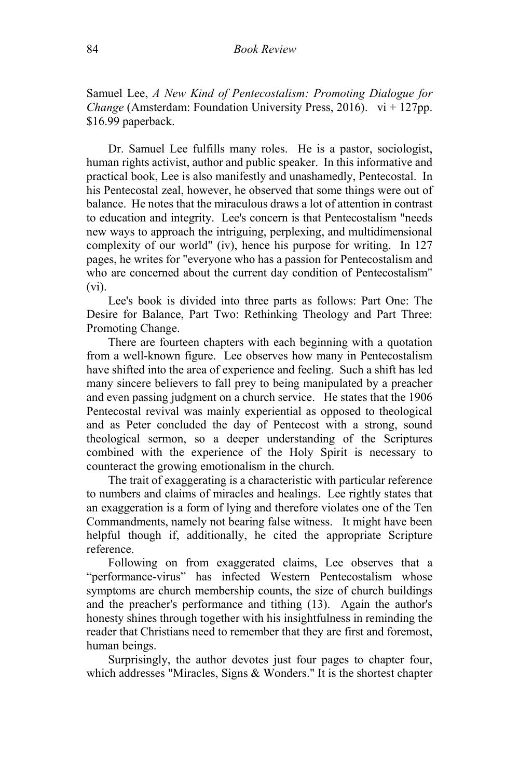Samuel Lee, *A New Kind of Pentecostalism: Promoting Dialogue for Change* (Amsterdam: Foundation University Press, 2016). vi + 127pp. \$16.99 paperback.

Dr. Samuel Lee fulfills many roles. He is a pastor, sociologist, human rights activist, author and public speaker. In this informative and practical book, Lee is also manifestly and unashamedly, Pentecostal. In his Pentecostal zeal, however, he observed that some things were out of balance. He notes that the miraculous draws a lot of attention in contrast to education and integrity. Lee's concern is that Pentecostalism "needs new ways to approach the intriguing, perplexing, and multidimensional complexity of our world" (iv), hence his purpose for writing. In 127 pages, he writes for "everyone who has a passion for Pentecostalism and who are concerned about the current day condition of Pentecostalism" (vi).

Lee's book is divided into three parts as follows: Part One: The Desire for Balance, Part Two: Rethinking Theology and Part Three: Promoting Change.

There are fourteen chapters with each beginning with a quotation from a well-known figure. Lee observes how many in Pentecostalism have shifted into the area of experience and feeling. Such a shift has led many sincere believers to fall prey to being manipulated by a preacher and even passing judgment on a church service. He states that the 1906 Pentecostal revival was mainly experiential as opposed to theological and as Peter concluded the day of Pentecost with a strong, sound theological sermon, so a deeper understanding of the Scriptures combined with the experience of the Holy Spirit is necessary to counteract the growing emotionalism in the church.

The trait of exaggerating is a characteristic with particular reference to numbers and claims of miracles and healings. Lee rightly states that an exaggeration is a form of lying and therefore violates one of the Ten Commandments, namely not bearing false witness. It might have been helpful though if, additionally, he cited the appropriate Scripture reference.

Following on from exaggerated claims, Lee observes that a "performance-virus" has infected Western Pentecostalism whose symptoms are church membership counts, the size of church buildings and the preacher's performance and tithing (13). Again the author's honesty shines through together with his insightfulness in reminding the reader that Christians need to remember that they are first and foremost, human beings.

Surprisingly, the author devotes just four pages to chapter four, which addresses "Miracles, Signs & Wonders." It is the shortest chapter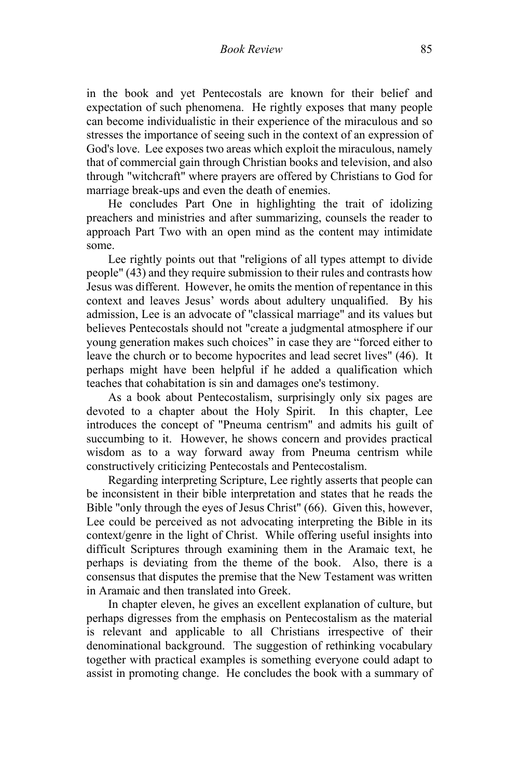in the book and yet Pentecostals are known for their belief and expectation of such phenomena. He rightly exposes that many people can become individualistic in their experience of the miraculous and so stresses the importance of seeing such in the context of an expression of God's love. Lee exposes two areas which exploit the miraculous, namely that of commercial gain through Christian books and television, and also through "witchcraft" where prayers are offered by Christians to God for marriage break-ups and even the death of enemies.

He concludes Part One in highlighting the trait of idolizing preachers and ministries and after summarizing, counsels the reader to approach Part Two with an open mind as the content may intimidate some.

Lee rightly points out that "religions of all types attempt to divide people" (43) and they require submission to their rules and contrasts how Jesus was different. However, he omits the mention of repentance in this context and leaves Jesus' words about adultery unqualified. By his admission, Lee is an advocate of "classical marriage" and its values but believes Pentecostals should not "create a judgmental atmosphere if our young generation makes such choices" in case they are "forced either to leave the church or to become hypocrites and lead secret lives" (46). It perhaps might have been helpful if he added a qualification which teaches that cohabitation is sin and damages one's testimony.

As a book about Pentecostalism, surprisingly only six pages are devoted to a chapter about the Holy Spirit. In this chapter, Lee introduces the concept of "Pneuma centrism" and admits his guilt of succumbing to it. However, he shows concern and provides practical wisdom as to a way forward away from Pneuma centrism while constructively criticizing Pentecostals and Pentecostalism.

Regarding interpreting Scripture, Lee rightly asserts that people can be inconsistent in their bible interpretation and states that he reads the Bible "only through the eyes of Jesus Christ" (66). Given this, however, Lee could be perceived as not advocating interpreting the Bible in its context/genre in the light of Christ. While offering useful insights into difficult Scriptures through examining them in the Aramaic text, he perhaps is deviating from the theme of the book. Also, there is a consensus that disputes the premise that the New Testament was written in Aramaic and then translated into Greek.

In chapter eleven, he gives an excellent explanation of culture, but perhaps digresses from the emphasis on Pentecostalism as the material is relevant and applicable to all Christians irrespective of their denominational background. The suggestion of rethinking vocabulary together with practical examples is something everyone could adapt to assist in promoting change. He concludes the book with a summary of